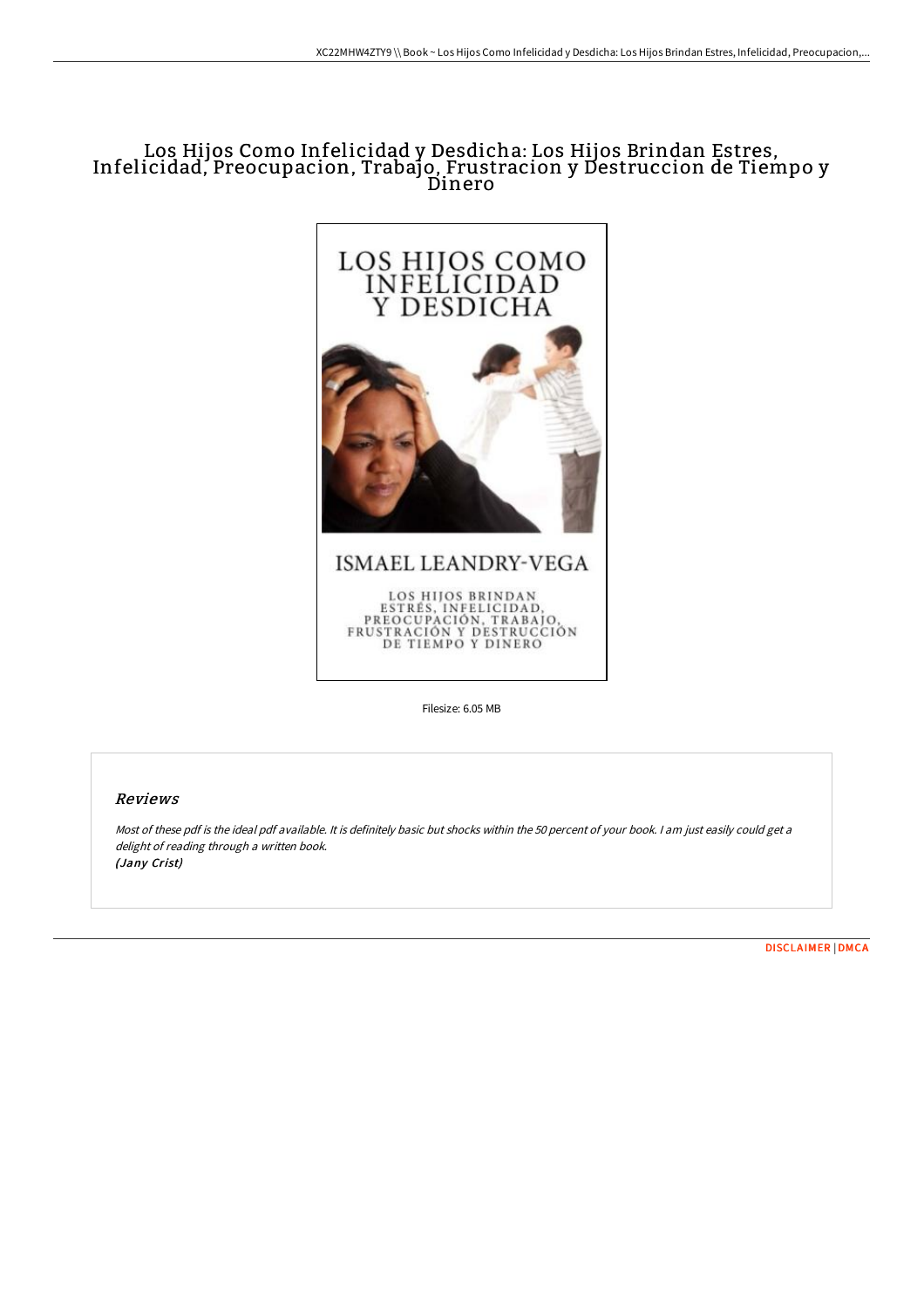# Los Hijos Como Infelicidad y Desdicha: Los Hijos Brindan Estres, Infelicidad, Preocupacion, Trabajo, Frustracion y Destruccion de Tiempo y Dinero



Filesize: 6.05 MB

### Reviews

Most of these pdf is the ideal pdf available. It is definitely basic but shocks within the <sup>50</sup> percent of your book. <sup>I</sup> am just easily could get <sup>a</sup> delight of reading through a written book. (Jany Crist)

[DISCLAIMER](http://techno-pub.tech/disclaimer.html) | [DMCA](http://techno-pub.tech/dmca.html)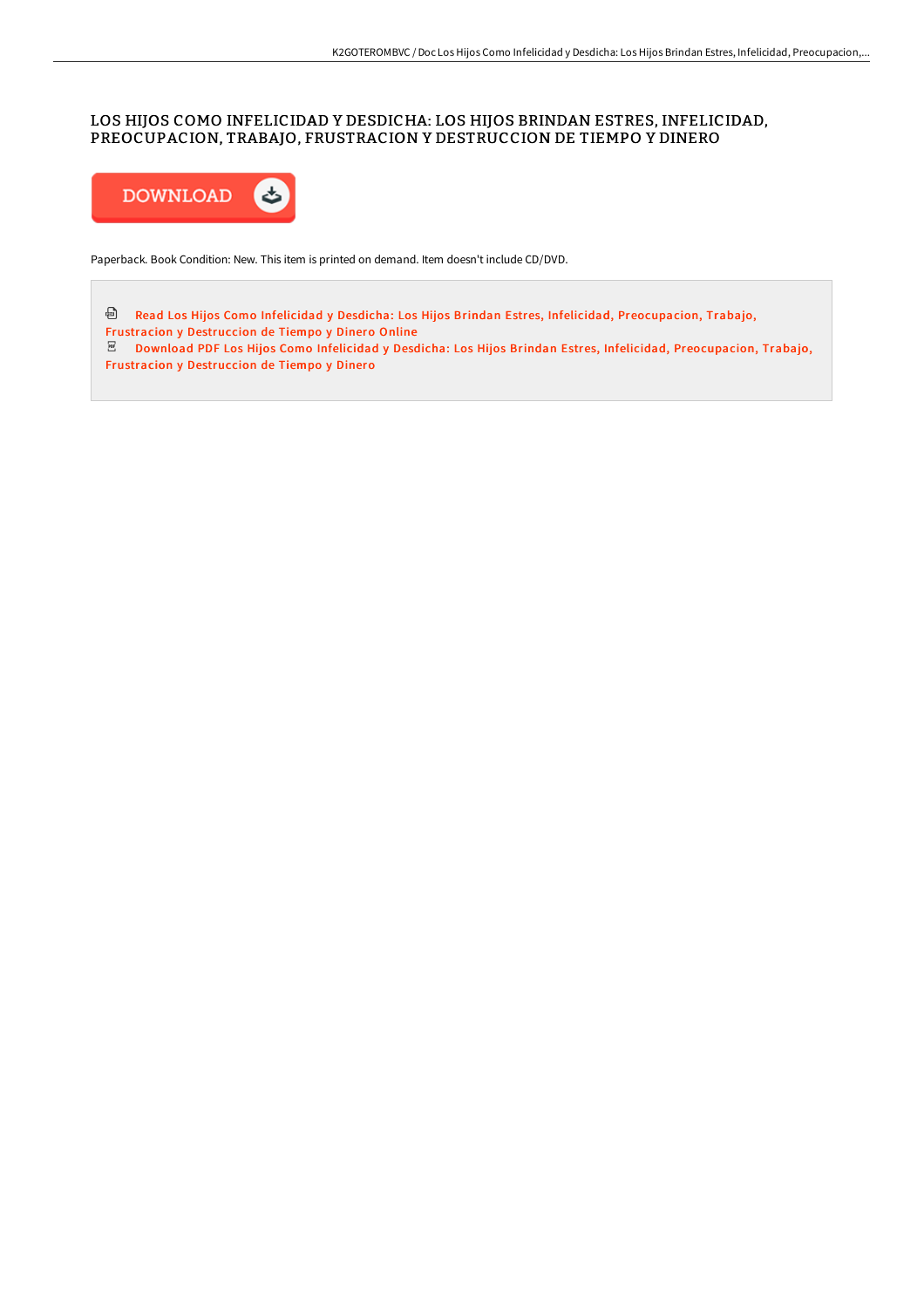## LOS HIJOS COMO INFELICIDAD Y DESDICHA: LOS HIJOS BRINDAN ESTRES, INFELICIDAD, PREOCUPACION, TRABAJO, FRUSTRACION Y DESTRUCCION DE TIEMPO Y DINERO



Paperback. Book Condition: New. This item is printed on demand. Item doesn't include CD/DVD.

Read Los Hijos Como Infelicidad y Desdicha: Los Hijos Brindan Estres, Infelicidad, [Preocupacion,](http://techno-pub.tech/los-hijos-como-infelicidad-y-desdicha-los-hijos-.html) Trabajo, Frustracion y Destruccion de Tiempo y Dinero Online Download PDF Los Hijos Como Infelicidad y Desdicha: Los Hijos Brindan Estres, Infelicidad, [Preocupacion,](http://techno-pub.tech/los-hijos-como-infelicidad-y-desdicha-los-hijos-.html) Trabajo, Frustracion y Destruccion de Tiempo y Dinero